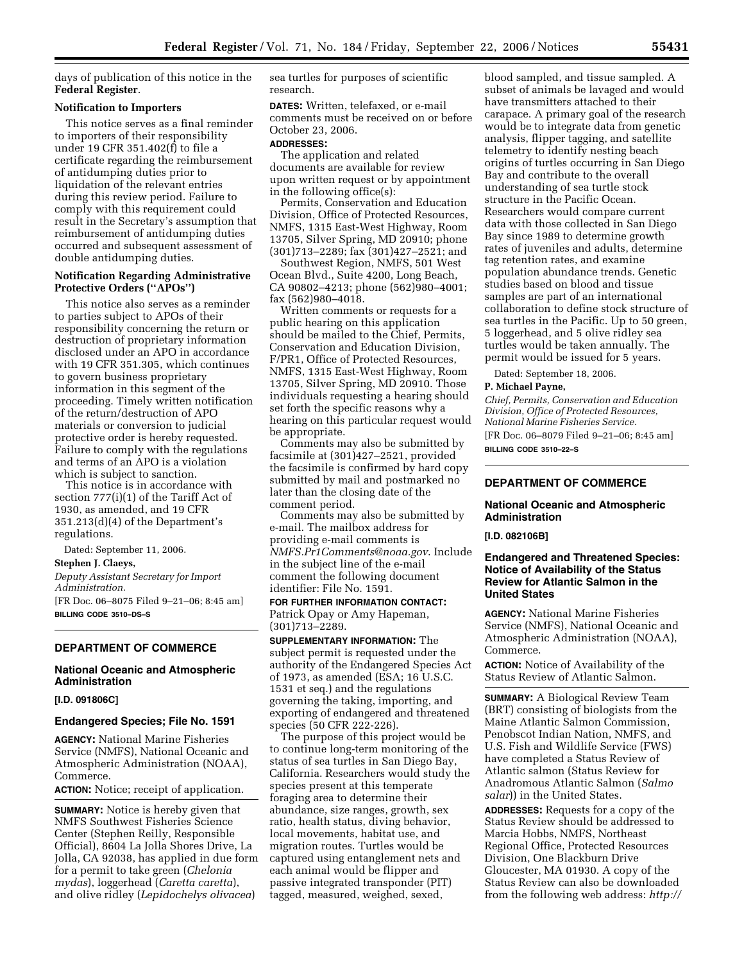days of publication of this notice in the **Federal Register**.

#### **Notification to Importers**

This notice serves as a final reminder to importers of their responsibility under 19 CFR 351.402(f) to file a certificate regarding the reimbursement of antidumping duties prior to liquidation of the relevant entries during this review period. Failure to comply with this requirement could result in the Secretary's assumption that reimbursement of antidumping duties occurred and subsequent assessment of double antidumping duties.

# **Notification Regarding Administrative Protective Orders (''APOs'')**

This notice also serves as a reminder to parties subject to APOs of their responsibility concerning the return or destruction of proprietary information disclosed under an APO in accordance with 19 CFR 351.305, which continues to govern business proprietary information in this segment of the proceeding. Timely written notification of the return/destruction of APO materials or conversion to judicial protective order is hereby requested. Failure to comply with the regulations and terms of an APO is a violation which is subject to sanction.

This notice is in accordance with section 777(i)(1) of the Tariff Act of 1930, as amended, and 19 CFR 351.213(d)(4) of the Department's regulations.

Dated: September 11, 2006.

### **Stephen J. Claeys,**

*Deputy Assistant Secretary for Import Administration.*  [FR Doc. 06–8075 Filed 9–21–06; 8:45 am]

**BILLING CODE 3510–DS–S** 

# **DEPARTMENT OF COMMERCE**

# **National Oceanic and Atmospheric Administration**

# **[I.D. 091806C]**

# **Endangered Species; File No. 1591**

**AGENCY:** National Marine Fisheries Service (NMFS), National Oceanic and Atmospheric Administration (NOAA), Commerce.

**ACTION:** Notice; receipt of application.

**SUMMARY:** Notice is hereby given that NMFS Southwest Fisheries Science Center (Stephen Reilly, Responsible Official), 8604 La Jolla Shores Drive, La Jolla, CA 92038, has applied in due form for a permit to take green (*Chelonia mydas*), loggerhead (*Caretta caretta*), and olive ridley (*Lepidochelys olivacea*)

sea turtles for purposes of scientific research.

**DATES:** Written, telefaxed, or e-mail comments must be received on or before October 23, 2006.

#### **ADDRESSES:**

The application and related documents are available for review upon written request or by appointment in the following office(s):

Permits, Conservation and Education Division, Office of Protected Resources, NMFS, 1315 East-West Highway, Room 13705, Silver Spring, MD 20910; phone (301)713–2289; fax (301)427–2521; and

Southwest Region, NMFS, 501 West Ocean Blvd., Suite 4200, Long Beach, CA 90802–4213; phone (562)980–4001; fax (562)980–4018.

Written comments or requests for a public hearing on this application should be mailed to the Chief, Permits, Conservation and Education Division, F/PR1, Office of Protected Resources, NMFS, 1315 East-West Highway, Room 13705, Silver Spring, MD 20910. Those individuals requesting a hearing should set forth the specific reasons why a hearing on this particular request would be appropriate.

Comments may also be submitted by facsimile at (301)427–2521, provided the facsimile is confirmed by hard copy submitted by mail and postmarked no later than the closing date of the comment period.

Comments may also be submitted by e-mail. The mailbox address for providing e-mail comments is *NMFS.Pr1Comments@noaa.gov*. Include in the subject line of the e-mail comment the following document identifier: File No. 1591.

**FOR FURTHER INFORMATION CONTACT:**  Patrick Opay or Amy Hapeman, (301)713–2289.

**SUPPLEMENTARY INFORMATION:** The subject permit is requested under the authority of the Endangered Species Act of 1973, as amended (ESA; 16 U.S.C. 1531 et seq.) and the regulations governing the taking, importing, and exporting of endangered and threatened species (50 CFR 222-226).

The purpose of this project would be to continue long-term monitoring of the status of sea turtles in San Diego Bay, California. Researchers would study the species present at this temperate foraging area to determine their abundance, size ranges, growth, sex ratio, health status, diving behavior, local movements, habitat use, and migration routes. Turtles would be captured using entanglement nets and each animal would be flipper and passive integrated transponder (PIT) tagged, measured, weighed, sexed,

blood sampled, and tissue sampled. A subset of animals be lavaged and would have transmitters attached to their carapace. A primary goal of the research would be to integrate data from genetic analysis, flipper tagging, and satellite telemetry to identify nesting beach origins of turtles occurring in San Diego Bay and contribute to the overall understanding of sea turtle stock structure in the Pacific Ocean. Researchers would compare current data with those collected in San Diego Bay since 1989 to determine growth rates of juveniles and adults, determine tag retention rates, and examine population abundance trends. Genetic studies based on blood and tissue samples are part of an international collaboration to define stock structure of sea turtles in the Pacific. Up to 50 green, 5 loggerhead, and 5 olive ridley sea turtles would be taken annually. The permit would be issued for 5 years.

Dated: September 18, 2006.

#### **P. Michael Payne,**

*Chief, Permits, Conservation and Education Division, Office of Protected Resources, National Marine Fisheries Service.*  [FR Doc. 06–8079 Filed 9–21–06; 8:45 am] **BILLING CODE 3510–22–S** 

# **DEPARTMENT OF COMMERCE**

#### **National Oceanic and Atmospheric Administration**

**[I.D. 082106B]** 

## **Endangered and Threatened Species: Notice of Availability of the Status Review for Atlantic Salmon in the United States**

**AGENCY:** National Marine Fisheries Service (NMFS), National Oceanic and Atmospheric Administration (NOAA), Commerce.

**ACTION:** Notice of Availability of the Status Review of Atlantic Salmon.

**SUMMARY:** A Biological Review Team (BRT) consisting of biologists from the Maine Atlantic Salmon Commission, Penobscot Indian Nation, NMFS, and U.S. Fish and Wildlife Service (FWS) have completed a Status Review of Atlantic salmon (Status Review for Anadromous Atlantic Salmon (*Salmo salar*)) in the United States.

**ADDRESSES:** Requests for a copy of the Status Review should be addressed to Marcia Hobbs, NMFS, Northeast Regional Office, Protected Resources Division, One Blackburn Drive Gloucester, MA 01930. A copy of the Status Review can also be downloaded from the following web address: *http://*